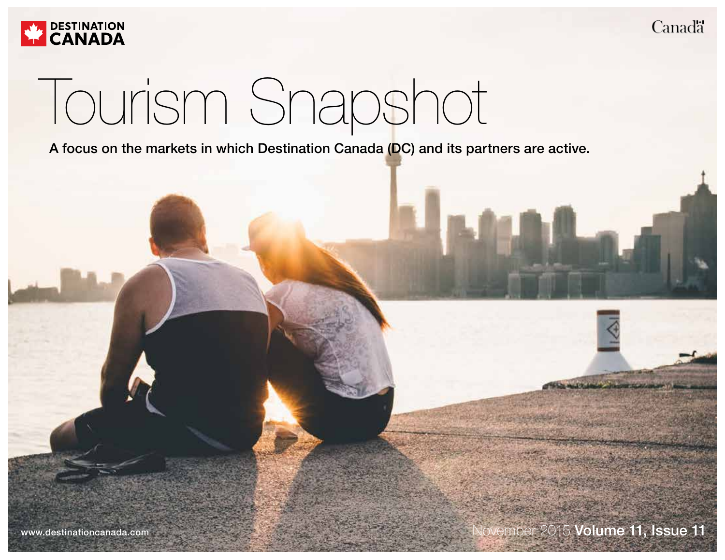

# Tourism Snapshot

A focus on the markets in which Destination Canada (DC) and its partners are active.

**Canada** 

www.destinationcanada.com and the state of the state of the November 2015 **Volume 11, Issue 11**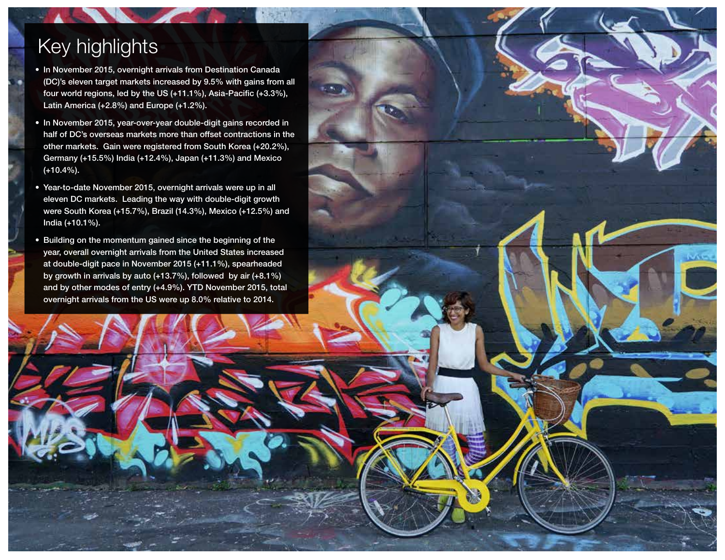## Key highlights

- In November 2015, overnight arrivals from Destination Canada (DC)'s eleven target markets increased by 9.5% with gains from all four world regions, led by the US (+11.1%), Asia-Pacific (+3.3%), Latin America (+2.8%) and Europe (+1.2%).
- In November 2015, year-over-year double-digit gains recorded in half of DC's overseas markets more than offset contractions in the other markets. Gain were registered from South Korea (+20.2%), Germany (+15.5%) India (+12.4%), Japan (+11.3%) and Mexico (+10.4%).
- Year-to-date November 2015, overnight arrivals were up in all eleven DC markets. Leading the way with double-digit growth were South Korea (+15.7%), Brazil (14.3%), Mexico (+12.5%) and India (+10.1%).
- Building on the momentum gained since the beginning of the year, overall overnight arrivals from the United States increased at double-digit pace in November 2015 (+11.1%), spearheaded by growth in arrivals by auto (+13.7%), followed by air (+8.1%) and by other modes of entry (+4.9%). YTD November 2015, total overnight arrivals from the US were up 8.0% relative to 2014.

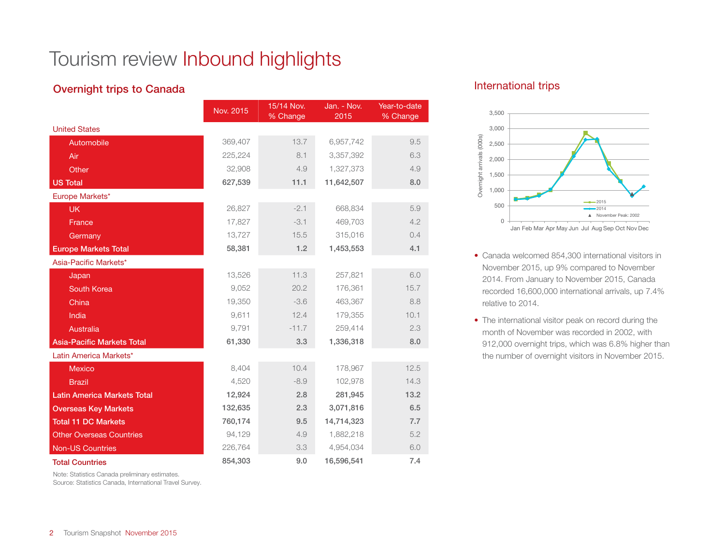## Tourism review Inbound highlights

#### Overnight trips to Canada

|                                    | Nov. 2015 | 15/14 Nov.<br>% Change | Jan. - Nov.<br>2015 | Year-to-date<br>% Change |
|------------------------------------|-----------|------------------------|---------------------|--------------------------|
| <b>United States</b>               |           |                        |                     |                          |
| Automobile                         | 369,407   | 13.7                   | 6,957,742           | 9.5                      |
| Air                                | 225,224   | 8.1                    | 3,357,392           | 6.3                      |
| Other                              | 32,908    | 4.9                    | 1,327,373           | 4.9                      |
| <b>US Total</b>                    | 627,539   | 11.1                   | 11,642,507          | 8.0                      |
| Europe Markets*                    |           |                        |                     |                          |
| <b>UK</b>                          | 26,827    | $-2.1$                 | 668,834             | 5.9                      |
| France                             | 17,827    | $-3.1$                 | 469,703             | 4.2                      |
| Germany                            | 13,727    | 15.5                   | 315,016             | 0.4                      |
| <b>Europe Markets Total</b>        | 58,381    | 1.2                    | 1,453,553           | 4.1                      |
| Asia-Pacific Markets*              |           |                        |                     |                          |
| Japan                              | 13,526    | 11.3                   | 257,821             | 6.0                      |
| South Korea                        | 9,052     | 20.2                   | 176,361             | 15.7                     |
| China                              | 19,350    | $-3.6$                 | 463,367             | 8.8                      |
| India                              | 9,611     | 12.4                   | 179,355             | 10.1                     |
| <b>Australia</b>                   | 9,791     | $-11.7$                | 259,414             | 2.3                      |
| <b>Asia-Pacific Markets Total</b>  | 61,330    | 3.3                    | 1,336,318           | 8.0                      |
| Latin America Markets*             |           |                        |                     |                          |
| <b>Mexico</b>                      | 8,404     | 10.4                   | 178,967             | 12.5                     |
| <b>Brazil</b>                      | 4,520     | $-8.9$                 | 102,978             | 14.3                     |
| <b>Latin America Markets Total</b> | 12,924    | 2.8                    | 281,945             | 13.2                     |
| <b>Overseas Key Markets</b>        | 132,635   | 2.3                    | 3,071,816           | 6.5                      |
| <b>Total 11 DC Markets</b>         | 760,174   | 9.5                    | 14,714,323          | 7.7                      |
| <b>Other Overseas Countries</b>    | 94,129    | 4.9                    | 1,882,218           | 5.2                      |
| <b>Non-US Countries</b>            | 226,764   | 3.3                    | 4,954,034           | 6.0                      |
| <b>Total Countries</b>             | 854,303   | 9.0                    | 16,596,541          | 7.4                      |

Note: Statistics Canada preliminary estimates. Source: Statistics Canada, International Travel Survey.

#### International trips



- Canada welcomed 854,300 international visitors in November 2015, up 9% compared to November 2014. From January to November 2015, Canada recorded 16,600,000 international arrivals, up 7.4% relative to 2014.
- The international visitor peak on record during the month of November was recorded in 2002, with 912,000 overnight trips, which was 6.8% higher than the number of overnight visitors in November 2015.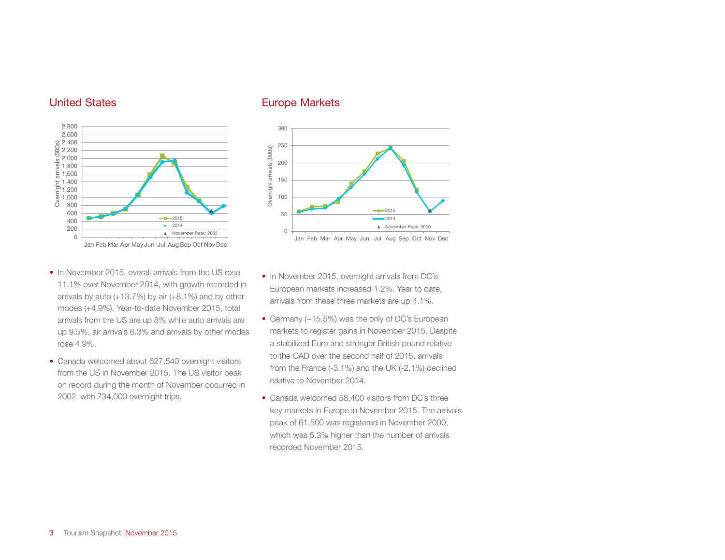#### United States



- In November 2015, overall arrivals from the US rose 11.1% over November 2014, with growth recorded in arrivals by auto  $(+13.7%)$  by air  $(+8.1%)$  and by other modes (+4.9%). Year-to-date November 2015, total arrivals from the US are up 8% while auto arrivals are up 9.5%, air arrivals 6.3% and arrivals by other modes rose 4.9%.
- Canada welcomed about 627,540 overnight visitors from the US in November 2015. The US visitor peak on record during the month of November occurred in 2002, with 734,000 overnight trips.

#### Europe Markets



- In November 2015, overnight arrivals from DC's European markets increased 1.2%. Year to date, arrivals from these three markets are up 4.1%.
- Germany (+15.5%) was the only of DC's European markets to register gains in November 2015. Despite a stabilized Euro and stronger British pound relative to the CAD over the second half of 2015, arrivals from the France (-3.1%) and the UK (-2.1%) declined relative to November 2014.
- Canada welcomed 58,400 visitors from DC's three key markets in Europe in November 2015. The arrivals peak of 61,500 was registered in November 2000, which was 5.3% higher than the number of arrivals recorded November 2015.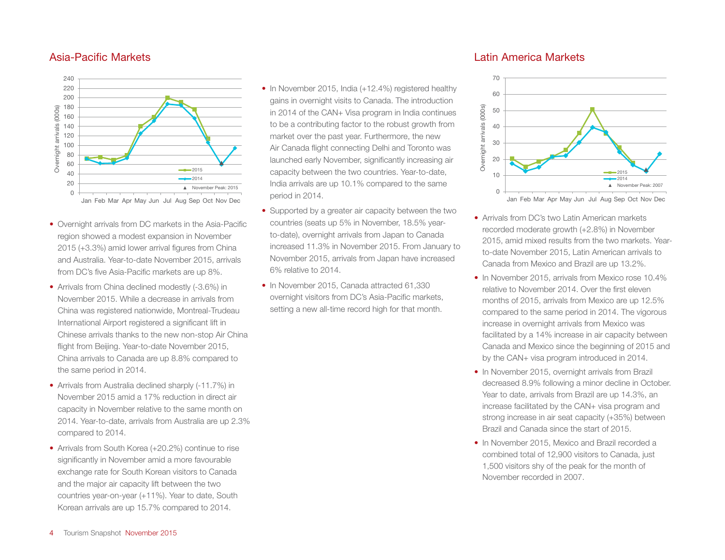#### Asia-Pacific Markets



- Overnight arrivals from DC markets in the Asia-Pacific region showed a modest expansion in November 2015 (+3.3%) amid lower arrival figures from China and Australia. Year-to-date November 2015, arrivals from DC's five Asia-Pacific markets are up 8%.
- Arrivals from China declined modestly (-3.6%) in November 2015. While a decrease in arrivals from China was registered nationwide, Montreal-Trudeau International Airport registered a significant lift in Chinese arrivals thanks to the new non-stop Air China flight from Beijing. Year-to-date November 2015, China arrivals to Canada are up 8.8% compared to the same period in 2014.
- Arrivals from Australia declined sharply (-11.7%) in November 2015 amid a 17% reduction in direct air capacity in November relative to the same month on 2014. Year-to-date, arrivals from Australia are up 2.3% compared to 2014.
- Arrivals from South Korea (+20.2%) continue to rise significantly in November amid a more favourable exchange rate for South Korean visitors to Canada and the major air capacity lift between the two countries year-on-year (+11%). Year to date, South Korean arrivals are up 15.7% compared to 2014.
- In November 2015, India (+12.4%) registered healthy gains in overnight visits to Canada. The introduction in 2014 of the CAN+ Visa program in India continues to be a contributing factor to the robust growth from market over the past year. Furthermore, the new Air Canada flight connecting Delhi and Toronto was launched early November, significantly increasing air capacity between the two countries. Year-to-date, ervice and the same india arrivals are up 10.1% compared to the same of the same of the same of the same of the same of the same of the same of the same of the same of the same of the same of the same of the same of the sa period in 2014.
	- Supported by a greater air capacity between the two countries (seats up 5% in November, 18.5% yearto-date), overnight arrivals from Japan to Canada increased 11.3% in November 2015. From January to November 2015, arrivals from Japan have increased 6% relative to 2014.
	- In November 2015, Canada attracted 61,330 overnight visitors from DC's Asia-Pacific markets, setting a new all-time record high for that month.

#### Latin America Markets



- Arrivals from DC's two Latin American markets recorded moderate growth (+2.8%) in November 2015, amid mixed results from the two markets. Yearto-date November 2015, Latin American arrivals to Canada from Mexico and Brazil are up 13.2%.
- In November 2015, arrivals from Mexico rose 10.4% relative to November 2014. Over the first eleven months of 2015, arrivals from Mexico are up 12.5% compared to the same period in 2014. The vigorous increase in overnight arrivals from Mexico was facilitated by a 14% increase in air capacity between Canada and Mexico since the beginning of 2015 and by the CAN+ visa program introduced in 2014.
- In November 2015, overnight arrivals from Brazil decreased 8.9% following a minor decline in October. Year to date, arrivals from Brazil are up 14.3%, an increase facilitated by the CAN+ visa program and strong increase in air seat capacity (+35%) between Brazil and Canada since the start of 2015.
- In November 2015, Mexico and Brazil recorded a combined total of 12,900 visitors to Canada, just 1,500 visitors shy of the peak for the month of November recorded in 2007.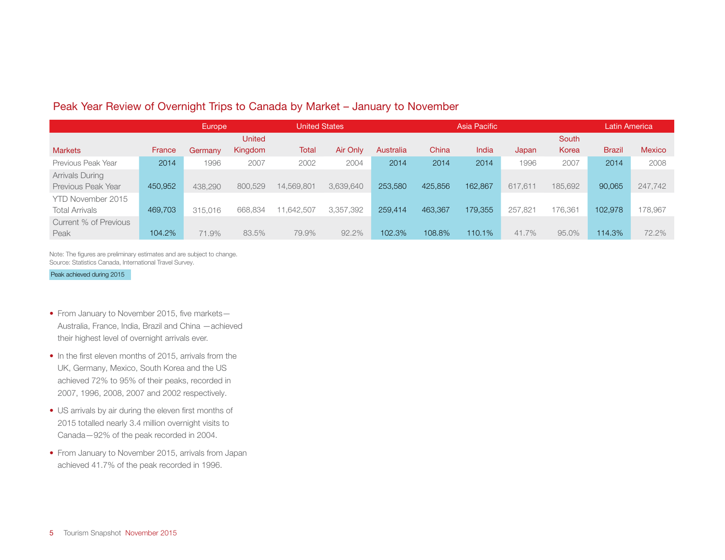#### Peak Year Review of Overnight Trips to Canada by Market – January to November

|                        |         | <b>Europe</b> |               | <b>United States</b> |           |           | Asia Pacific |         |         |         | Latin America |               |  |
|------------------------|---------|---------------|---------------|----------------------|-----------|-----------|--------------|---------|---------|---------|---------------|---------------|--|
|                        |         |               | <b>United</b> |                      |           |           |              |         |         | South   |               |               |  |
| <b>Markets</b>         | France  | Germany       | Kingdom       | Total                | Air Only  | Australia | China        | India   | Japan   | Korea   | <b>Brazil</b> | <b>Mexico</b> |  |
| Previous Peak Year     | 2014    | 1996          | 2007          | 2002                 | 2004      | 2014      | 2014         | 2014    | 1996    | 2007    | 2014          | 2008          |  |
| <b>Arrivals During</b> |         |               |               |                      |           |           |              |         |         |         |               |               |  |
| Previous Peak Year     | 450,952 | 438,290       | 800,529       | 14,569,801           | 3,639,640 | 253,580   | 425,856      | 162,867 | 617.611 | 185,692 | 90,065        | 247,742       |  |
| YTD November 2015      |         |               |               |                      |           |           |              |         |         |         |               |               |  |
| <b>Total Arrivals</b>  | 469,703 | 315,016       | 668.834       | 11,642,507           | 3,357,392 | 259,414   | 463,367      | 179,355 | 257.82  | 176.361 | 102,978       | 178.967       |  |
| Current % of Previous  |         |               |               |                      |           |           |              |         |         |         |               |               |  |
| Peak                   | 104.2%  | 71.9%         | 83.5%         | 79.9%                | 92.2%     | 102.3%    | 108.8%       | 110.1%  | 41.7%   | 95.0%   | 114.3%        | 72.2%         |  |

Note: The figures are preliminary estimates and are subject to change. Source: Statistics Canada, International Travel Survey.

#### . Peak achieved during 2015

- From January to November 2015, five markets— Australia, France, India, Brazil and China —achieved their highest level of overnight arrivals ever.
- In the first eleven months of 2015, arrivals from the UK, Germany, Mexico, South Korea and the US achieved 72% to 95% of their peaks, recorded in 2007, 1996, 2008, 2007 and 2002 respectively.
- US arrivals by air during the eleven first months of 2015 totalled nearly 3.4 million overnight visits to Canada—92% of the peak recorded in 2004.
- From January to November 2015, arrivals from Japan achieved 41.7% of the peak recorded in 1996.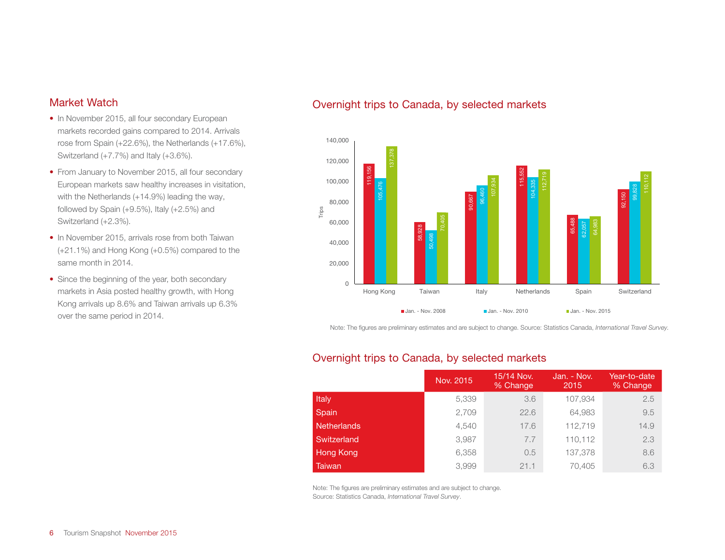#### Market Watch

- In November 2015, all four secondary European markets recorded gains compared to 2014. Arrivals rose from Spain (+22.6%), the Netherlands (+17.6%), Switzerland (+7.7%) and Italy (+3.6%).
- From January to November 2015, all four secondary European markets saw healthy increases in visitation, with the Netherlands (+14.9%) leading the way, followed by Spain (+9.5%), Italy (+2.5%) and Switzerland (+2.3%).
- In November 2015, arrivals rose from both Taiwan (+21.1%) and Hong Kong (+0.5%) compared to the same month in 2014.
- Since the beginning of the year, both secondary markets in Asia posted healthy growth, with Hong Kong arrivals up 8.6% and Taiwan arrivals up 6.3% over the same period in 2014.

#### Overnight trips to Canada, by selected markets



Note: The figures are preliminary estimates and are subject to change. Source: Statistics Canada, International Travel Survey.

#### Overnight trips to Canada, by selected markets

|                  | Nov. 2015 | 15/14 Nov.<br>% Change | Jan. - Nov.<br>2015 | Year-to-date<br>% Change |
|------------------|-----------|------------------------|---------------------|--------------------------|
| Italy            | 5,339     | 3.6                    | 107.934             | 2.5                      |
| Spain            | 2,709     | 22.6                   | 64,983              | 9.5                      |
| Netherlands      | 4.540     | 17.6                   | 112,719             | 14.9                     |
| Switzerland      | 3,987     | 7.7                    | 110,112             | 2.3                      |
| <b>Hong Kong</b> | 6,358     | 0.5                    | 137,378             | 8.6                      |
| Taiwan           | 3,999     | 21.1                   | 70,405              | 6.3                      |

Note: The figures are preliminary estimates and are subject to change. Source: Statistics Canada, International Travel Survey.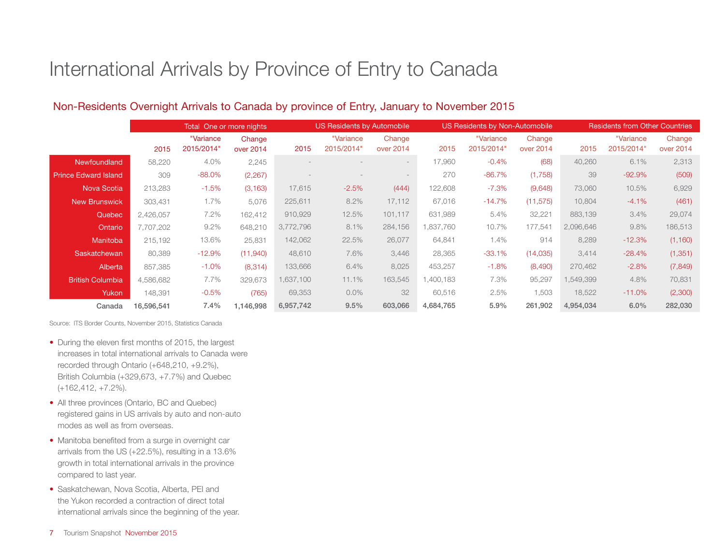## International Arrivals by Province of Entry to Canada

#### Non-Residents Overnight Arrivals to Canada by province of Entry, January to November 2015

|                             |            |                         | Total One or more nights |           | US Residents by Automobile<br>US Residents by Non-Automobile |                     |           |                         | <b>Residents from Other Countries</b> |           |                         |                     |
|-----------------------------|------------|-------------------------|--------------------------|-----------|--------------------------------------------------------------|---------------------|-----------|-------------------------|---------------------------------------|-----------|-------------------------|---------------------|
|                             | 2015       | "Variance<br>2015/2014" | Change<br>over 2014      | 2015      | "Variance<br>2015/2014"                                      | Change<br>over 2014 | 2015      | "Variance<br>2015/2014" | Change<br>over 2014                   | 2015      | "Variance<br>2015/2014" | Change<br>over 2014 |
| Newfoundland                | 58,220     | 4.0%                    | 2,245                    |           |                                                              | $\sim$              | 17,960    | $-0.4%$                 | (68)                                  | 40,260    | 6.1%                    | 2,313               |
| <b>Prince Edward Island</b> | 309        | $-88.0\%$               | (2, 267)                 |           |                                                              | $\qquad \qquad -$   | 270       | $-86.7\%$               | (1,758)                               | 39        | $-92.9%$                | (509)               |
| <b>Nova Scotia</b>          | 213,283    | $-1.5%$                 | (3, 163)                 | 17,615    | $-2.5%$                                                      | (444)               | 122,608   | $-7.3%$                 | (9,648)                               | 73,060    | 10.5%                   | 6,929               |
| <b>New Brunswick</b>        | 303.431    | 1.7%                    | 5,076                    | 225,611   | 8.2%                                                         | 17,112              | 67,016    | $-14.7\%$               | (11, 575)                             | 10,804    | $-4.1%$                 | (461)               |
| Quebec                      | 2,426,057  | 7.2%                    | 162,412                  | 910,929   | 12.5%                                                        | 101,117             | 631,989   | 5.4%                    | 32,221                                | 883,139   | 3.4%                    | 29,074              |
| Ontario                     | 7.707.202  | 9.2%                    | 648,210                  | 3,772,796 | 8.1%                                                         | 284,156             | ,837,760  | 10.7%                   | 177.541                               | 2,096,646 | 9.8%                    | 186,513             |
| Manitoba                    | 215,192    | 13.6%                   | 25,831                   | 142,062   | 22.5%                                                        | 26,077              | 64,841    | 1.4%                    | 914                                   | 8,289     | $-12.3%$                | (1,160)             |
| Saskatchewan                | 80.389     | $-12.9%$                | (11,940)                 | 48,610    | 7.6%                                                         | 3,446               | 28,365    | $-33.1%$                | (14,035)                              | 3,414     | $-28.4%$                | (1, 351)            |
| Alberta                     | 857,385    | $-1.0\%$                | (8, 314)                 | 133,666   | 6.4%                                                         | 8,025               | 453,257   | $-1.8%$                 | (8,490)                               | 270,462   | $-2.8%$                 | (7,849)             |
| <b>British Columbia</b>     | 4,586,682  | 7.7%                    | 329,673                  | 1,637,100 | 11.1%                                                        | 163,545             | ,400,183  | 7.3%                    | 95,297                                | 1,549,399 | 4.8%                    | 70,831              |
| Yukon                       | 148,391    | $-0.5%$                 | (765)                    | 69,353    | 0.0%                                                         | 32                  | 60,516    | 2.5%                    | 1,503                                 | 18,522    | $-11.0%$                | (2,300)             |
| Canada                      | 16,596,541 | 7.4%                    | 1,146,998                | 6,957,742 | 9.5%                                                         | 603,066             | 4,684,765 | 5.9%                    | 261,902                               | 4,954,034 | 6.0%                    | 282,030             |

Source: ITS Border Counts, November 2015, Statistics Canada

- During the eleven first months of 2015, the largest increases in total international arrivals to Canada were recorded through Ontario (+648,210, +9.2%), British Columbia (+329,673, +7.7%) and Quebec (+162,412, +7.2%).
- All three provinces (Ontario, BC and Quebec) registered gains in US arrivals by auto and non-auto modes as well as from overseas.
- Manitoba benefited from a surge in overnight car arrivals from the US (+22.5%), resulting in a 13.6% growth in total international arrivals in the province compared to last year.
- Saskatchewan, Nova Scotia, Alberta, PEI and the Yukon recorded a contraction of direct total international arrivals since the beginning of the year.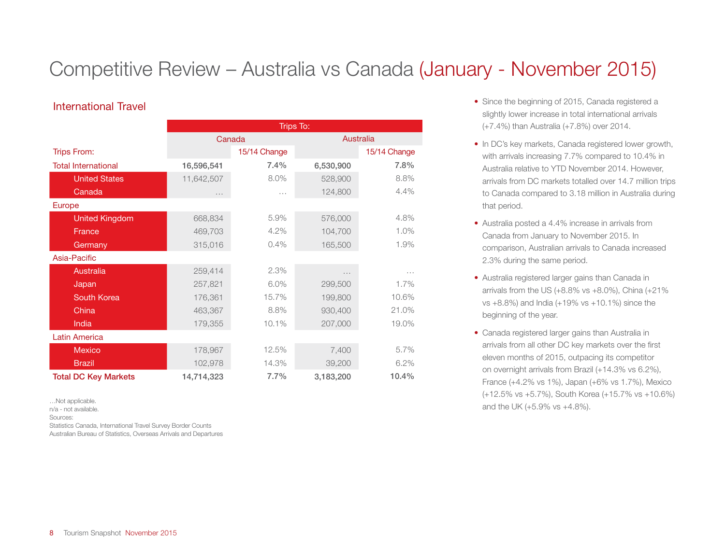## Competitive Review – Australia vs Canada (January - November 2015)

#### International Travel

|                             |            | Trips To:    |           |              |  |  |  |  |  |  |  |
|-----------------------------|------------|--------------|-----------|--------------|--|--|--|--|--|--|--|
|                             |            | Canada       |           | Australia    |  |  |  |  |  |  |  |
| Trips From:                 |            | 15/14 Change |           | 15/14 Change |  |  |  |  |  |  |  |
| <b>Total International</b>  | 16,596,541 | 7.4%         | 6,530,900 | 7.8%         |  |  |  |  |  |  |  |
| <b>United States</b>        | 11,642,507 | 8.0%         | 528,900   | 8.8%         |  |  |  |  |  |  |  |
| Canada                      | $\cdots$   | $\cdots$     | 124,800   | 4.4%         |  |  |  |  |  |  |  |
| <b>Europe</b>               |            |              |           |              |  |  |  |  |  |  |  |
| <b>United Kingdom</b>       | 668,834    | 5.9%         | 576,000   | 4.8%         |  |  |  |  |  |  |  |
| France                      | 469,703    | 4.2%         | 104,700   | 1.0%         |  |  |  |  |  |  |  |
| Germany                     | 315,016    | 0.4%         | 165,500   | 1.9%         |  |  |  |  |  |  |  |
| Asia-Pacific                |            |              |           |              |  |  |  |  |  |  |  |
| Australia                   | 259,414    | 2.3%         | $\cdots$  | $\cdots$     |  |  |  |  |  |  |  |
| Japan                       | 257,821    | 6.0%         | 299,500   | 1.7%         |  |  |  |  |  |  |  |
| South Korea                 | 176,361    | 15.7%        | 199,800   | 10.6%        |  |  |  |  |  |  |  |
| China                       | 463,367    | 8.8%         | 930,400   | 21.0%        |  |  |  |  |  |  |  |
| India                       | 179,355    | 10.1%        | 207,000   | 19.0%        |  |  |  |  |  |  |  |
| <b>Latin America</b>        |            |              |           |              |  |  |  |  |  |  |  |
| Mexico                      | 178,967    | 12.5%        | 7,400     | 5.7%         |  |  |  |  |  |  |  |
| <b>Brazil</b>               | 102,978    | 14.3%        | 39,200    | 6.2%         |  |  |  |  |  |  |  |
| <b>Total DC Key Markets</b> | 14,714,323 | 7.7%         | 3,183,200 | 10.4%        |  |  |  |  |  |  |  |

n/a - not available.

Sources:

Statistics Canada, International Travel Survey Border Counts Australian Bureau of Statistics, Overseas Arrivals and Departures

- Since the beginning of 2015, Canada registered a slightly lower increase in total international arrivals (+7.4%) than Australia (+7.8%) over 2014.
- In DC's key markets, Canada registered lower growth, with arrivals increasing 7.7% compared to 10.4% in Australia relative to YTD November 2014. However, arrivals from DC markets totalled over 14.7 million trips to Canada compared to 3.18 million in Australia during that period.
- Australia posted a 4.4% increase in arrivals from Canada from January to November 2015. In comparison, Australian arrivals to Canada increased 2.3% during the same period.
- Australia registered larger gains than Canada in arrivals from the US ( $+8.8\%$  vs  $+8.0\%$ ), China ( $+21\%$ vs +8.8%) and India (+19% vs +10.1%) since the beginning of the year.
- Canada registered larger gains than Australia in arrivals from all other DC key markets over the first eleven months of 2015, outpacing its competitor on overnight arrivals from Brazil (+14.3% vs 6.2%), France (+4.2% vs 1%), Japan (+6% vs 1.7%), Mexico (+12.5% vs +5.7%), South Korea (+15.7% vs +10.6%) and the UK  $(+5.9\% \text{ vs } +4.8\%).$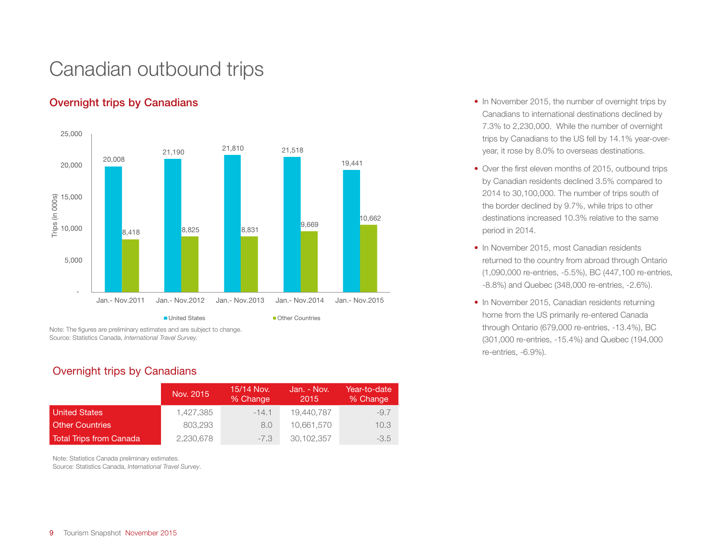## Canadian outbound trips

### Overnight trips by Canadians



Note: The figures are preliminary estimates and are subject to change. Source: Statistics Canada, International Travel Survey.

#### Overnight trips by Canadians

|                         | Nov. 2015 | 15/14 Nov.<br>% Change | Jan. - Nov.<br>2015 | Year-to-date<br>% Change |
|-------------------------|-----------|------------------------|---------------------|--------------------------|
| <b>United States</b>    | 1,427,385 | $-14.1$                | 19,440,787          | $-9.7$                   |
| <b>Other Countries</b>  | 803.293   | 8.0                    | 10.661.570          | 10.3                     |
| Total Trips from Canada | 2,230,678 | $-7.3$                 | 30.102.357          | $-3.5$                   |

Note: Statistics Canada preliminary estimates. Source: Statistics Canada, International Travel Survey.

- In November 2015, the number of overnight trips by Canadians to international destinations declined by 7.3% to 2,230,000. While the number of overnight trips by Canadians to the US fell by 14.1% year-overyear, it rose by 8.0% to overseas destinations.
- Over the first eleven months of 2015, outbound trips by Canadian residents declined 3.5% compared to 2014 to 30,100,000. The number of trips south of the border declined by 9.7%, while trips to other destinations increased 10.3% relative to the same period in 2014.
- In November 2015, most Canadian residents returned to the country from abroad through Ontario (1,090,000 re-entries, -5.5%), BC (447,100 re-entries, -8.8%) and Quebec (348,000 re-entries, -2.6%).
- In November 2015, Canadian residents returning home from the US primarily re-entered Canada through Ontario (679,000 re-entries, -13.4%), BC (301,000 re-entries, -15.4%) and Quebec (194,000 re-entries, -6.9%).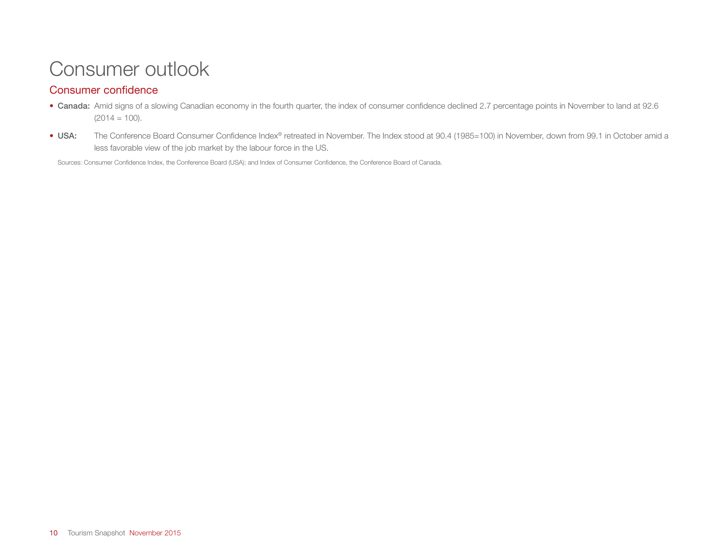## Consumer outlook

#### Consumer confidence

- Canada: Amid signs of a slowing Canadian economy in the fourth quarter, the index of consumer confidence declined 2.7 percentage points in November to land at 92.6  $(2014 = 100)$ .
- USA: The Conference Board Consumer Confidence Index® retreated in November. The Index stood at 90.4 (1985=100) in November, down from 99.1 in October amid a less favorable view of the job market by the labour force in the US.

Sources: Consumer Confidence Index, the Conference Board (USA); and Index of Consumer Confidence, the Conference Board of Canada.